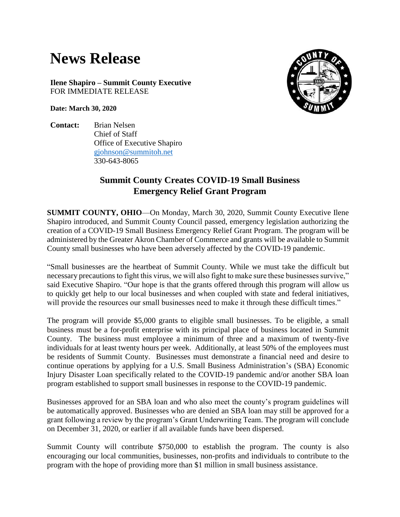## **News Release**

**Ilene Shapiro – Summit County Executive** FOR IMMEDIATE RELEASE

**Date: March 30, 2020**

**Contact:** Brian Nelsen Chief of Staff Office of Executive Shapiro [gjohnson@summitoh.net](mailto:gjohnson@summitoh.net) 330-643-8065



## **Summit County Creates COVID-19 Small Business Emergency Relief Grant Program**

**SUMMIT COUNTY, OHIO**—On Monday, March 30, 2020, Summit County Executive Ilene Shapiro introduced, and Summit County Council passed, emergency legislation authorizing the creation of a COVID-19 Small Business Emergency Relief Grant Program. The program will be administered by the Greater Akron Chamber of Commerce and grants will be available to Summit County small businesses who have been adversely affected by the COVID-19 pandemic.

"Small businesses are the heartbeat of Summit County. While we must take the difficult but necessary precautions to fight this virus, we will also fight to make sure these businesses survive," said Executive Shapiro. "Our hope is that the grants offered through this program will allow us to quickly get help to our local businesses and when coupled with state and federal initiatives, will provide the resources our small businesses need to make it through these difficult times."

The program will provide \$5,000 grants to eligible small businesses. To be eligible, a small business must be a for-profit enterprise with its principal place of business located in Summit County. The business must employee a minimum of three and a maximum of twenty-five individuals for at least twenty hours per week. Additionally, at least 50% of the employees must be residents of Summit County. Businesses must demonstrate a financial need and desire to continue operations by applying for a U.S. Small Business Administration's (SBA) Economic Injury Disaster Loan specifically related to the COVID-19 pandemic and/or another SBA loan program established to support small businesses in response to the COVID-19 pandemic.

Businesses approved for an SBA loan and who also meet the county's program guidelines will be automatically approved. Businesses who are denied an SBA loan may still be approved for a grant following a review by the program's Grant Underwriting Team. The program will conclude on December 31, 2020, or earlier if all available funds have been dispersed.

Summit County will contribute \$750,000 to establish the program. The county is also encouraging our local communities, businesses, non-profits and individuals to contribute to the program with the hope of providing more than \$1 million in small business assistance.